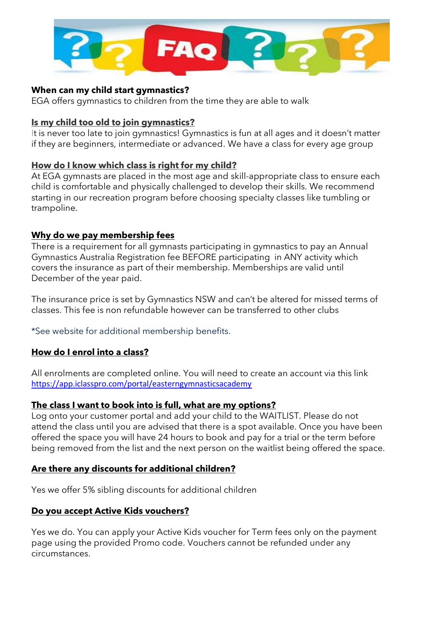

#### **When can my child start gymnastics?**

EGA offers gymnastics to children from the time they are able to walk

#### **[Is my child too old to join gymnastics?](https://mwgymclub.com/#is-my-child-too-old-to-join-gymnastics)**

It is never too late to join gymnastics! Gymnastics is fun at all ages and it doesn't matter if they are beginners, intermediate or advanced. We have a class for every age group

### **[How do I know which class is right for my child?](https://mwgymclub.com/#how-do-i-know-which-class-is-right-for-my-child)**

At EGA gymnasts are placed in the most age and skill-appropriate class to ensure each child is comfortable and physically challenged to develop their skills. We recommend starting in our recreation program before choosing specialty classes like tumbling or trampoline.

## **Why do we pay membership fees**

There is a requirement for all gymnasts participating in gymnastics to pay an Annual Gymnastics Australia Registration fee BEFORE participating in ANY activity which covers the insurance as part of their membership. Memberships are valid until December of the year paid.

The insurance price is set by Gymnastics NSW and can't be altered for missed terms of classes. This fee is non refundable however can be transferred to other clubs

\*See website for additional membership benefits.

## **How do I enrol into a class?**

All enrolments are completed online. You will need to create an account via this link <https://app.iclasspro.com/portal/easterngymnasticsacademy>

#### **The class I want to book into is full, what are my options?**

Log onto your customer portal and add your child to the WAITLIST. Please do not attend the class until you are advised that there is a spot available. Once you have been offered the space you will have 24 hours to book and pay for a trial or the term before being removed from the list and the next person on the waitlist being offered the space.

## **Are there any discounts for additional children?**

Yes we offer 5% sibling discounts for additional children

## **Do you accept Active Kids vouchers?**

Yes we do. You can apply your Active Kids voucher for Term fees only on the payment page using the provided Promo code. Vouchers cannot be refunded under any circumstances.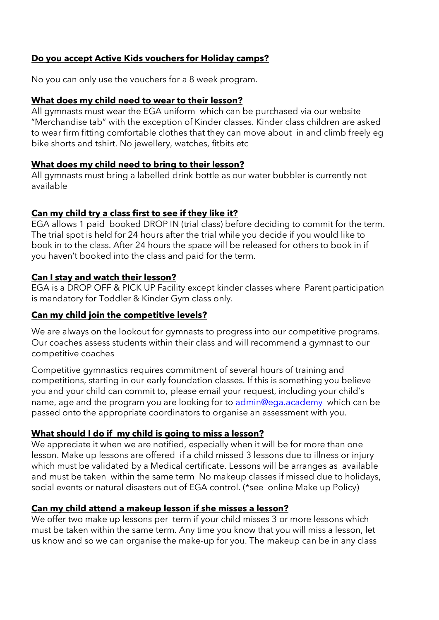## **Do you accept Active Kids vouchers for Holiday camps?**

No you can only use the vouchers for a 8 week program.

#### **What does my child need to wear to their lesson?**

All gymnasts must wear the EGA uniform which can be purchased via our website "Merchandise tab" with the exception of Kinder classes. Kinder class children are asked to wear firm fitting comfortable clothes that they can move about in and climb freely eg bike shorts and tshirt. No jewellery, watches, fitbits etc

#### **What does my child need to bring to their lesson?**

All gymnasts must bring a labelled drink bottle as our water bubbler is currently not available

### **Can my [child](javascript:void(0)) try a class first to see if they like it?**

EGA allows 1 paid booked DROP IN (trial class) before deciding to commit for the term. The trial spot is held for 24 hours after the trial while you decide if you would like to book in to the class. After 24 hours the space will be released for others to book in if you haven't booked into the class and paid for the term.

### **Can I stay and watch their lesson?**

EGA is a DROP OFF & PICK UP Facility except kinder classes where Parent participation is mandatory for Toddler & Kinder Gym class only.

### **Can my child join the competitive levels?**

We are always on the lookout for gymnasts to progress into our competitive programs. Our coaches assess students within their class and will recommend a gymnast to our competitive coaches

Competitive gymnastics requires commitment of several hours of training and competitions, starting in our early foundation classes. If this is something you believe you and your child can commit to, please email your request, including your child's name, age and the program you are looking for to [admin@ega.academy](mailto:admin@ega.academy) which can be passed onto the appropriate coordinators to organise an assessment with you.

#### **What should I do if my child is going to miss a lesson?**

We appreciate it when we are notified, especially when it will be for more than one lesson. Make up lessons are offered if a child missed 3 lessons due to illness or injury which must be validated by a Medical certificate. Lessons will be arranges as available and must be taken within the same term No makeup classes if missed due to holidays, social events or natural disasters out of EGA control. (\*see online Make up Policy)

## **Can my child attend a makeup lesson if she misses a lesson?**

We offer two make up lessons per term if your child misses 3 or more lessons which must be taken within the same term. Any time you know that you will miss a lesson, let us know and so we can organise the make-up for you. The makeup can be in any class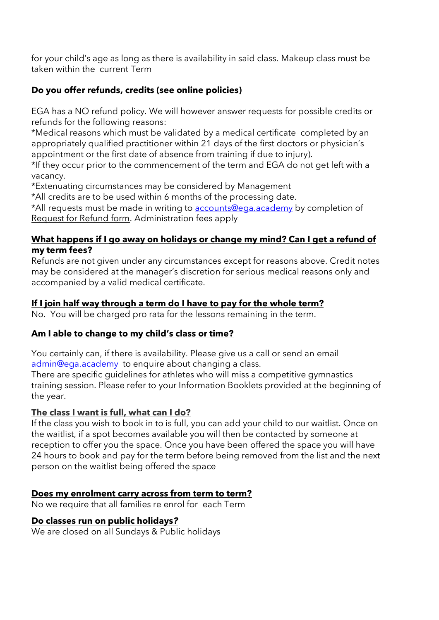for your child's age as long as there is availability in said class. Makeup class must be taken within the current Term

# **Do you offer refunds, credits (see online policies)**

EGA has a NO refund policy. We will however answer requests for possible credits or refunds for the following reasons:

\*Medical reasons which must be validated by a medical certificate completed by an appropriately qualified practitioner within 21 days of the first doctors or physician's appointment or the first date of absence from training if due to injury).

\*If they occur prior to the commencement of the term and EGA do not get left with a vacancy.

\*Extenuating circumstances may be considered by Management

\*All credits are to be used within 6 months of the processing date.

\*All requests must be made in writing to [accounts@ega.academy](mailto:accounts@ega.academy) by completion of Request for Refund form. Administration fees apply

## **What happens if I go away on holidays or change my mind? Can I get a refund of my term fees?**

Refunds are not given under any circumstances except for reasons above. Credit notes may be considered at the manager's discretion for serious medical reasons only and accompanied by a valid medical certificate.

# **If I join half way through a term do I have to pay for the whole term?**

No. You will be charged pro rata for the lessons remaining in the term.

# **Am I able to change to my child's class or time?**

You certainly can, if there is availability. Please give us a call or send an email [admin@ega.academy](mailto:admin@ega.academy) to enquire about changing a class.

There are specific guidelines for athletes who will miss a competitive gymnastics training session. Please refer to your Information Booklets provided at the beginning of the year.

# **[The class I want is full, what can I do?](https://mwgymclub.com/#the-class-i-want-is-full-what-can-i-do)**

If the class you wish to book in to is full, you can add your child to our waitlist. Once on the waitlist, if a spot becomes available you will then be contacted by someone at reception to offer you the space. Once you have been offered the space you will have 24 hours to book and pay for the term before being removed from the list and the next person on the waitlist being offered the space

# **Does my enrolment carry across from term to term?**

No we require that all families re enrol for each Term

# **Do classes run on public holidays***?*

We are closed on all Sundays & Public holidays